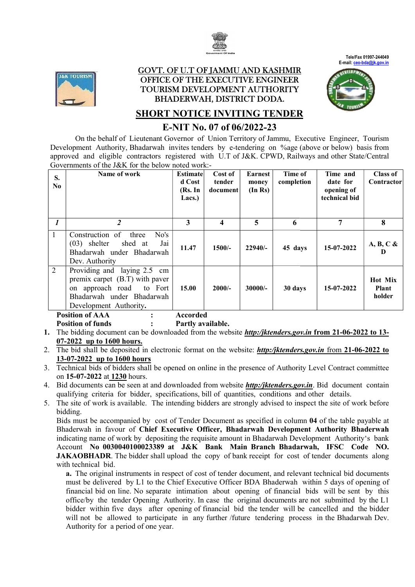



#### <u>GOVT. OF U.T OF JAMMU AND KASHMIR</u> OFFICE OF THE EXECUTIVE ENGINEER TOURISM TOURISM DEVELOPMENT AUTHORITY BHADERWAH, DISTRICT DODA.  $\ddot{\phantom{0}}$



# **SHORT NOTICE INVITING TENDER**

# E-NIT No. 07 of 06/2022-23

|                                                                                                                                                        |                                                                                                                                                                                                             |                         |                                          |                  |            |                        | Tele/Fax 01997-244049<br>E-mail: ceo-bda@jk.gov.in |  |
|--------------------------------------------------------------------------------------------------------------------------------------------------------|-------------------------------------------------------------------------------------------------------------------------------------------------------------------------------------------------------------|-------------------------|------------------------------------------|------------------|------------|------------------------|----------------------------------------------------|--|
|                                                                                                                                                        | <b>J&amp;K TOURISM</b>                                                                                                                                                                                      |                         | <b>GOVT. OF U.T OF JAMMU AND KASHMIR</b> |                  |            |                        |                                                    |  |
|                                                                                                                                                        |                                                                                                                                                                                                             |                         | <b>OFFICE OF THE EXECUTIVE ENGINEER</b>  |                  |            |                        |                                                    |  |
|                                                                                                                                                        |                                                                                                                                                                                                             |                         | TOURISM DEVELOPMENT AUTHORITY            |                  |            |                        |                                                    |  |
|                                                                                                                                                        |                                                                                                                                                                                                             |                         | <b>BHADERWAH, DISTRICT DODA.</b>         |                  |            |                        |                                                    |  |
|                                                                                                                                                        | <b>SHORT NOTICE INVITING TENDER</b>                                                                                                                                                                         |                         |                                          |                  |            |                        |                                                    |  |
| E-NIT No. 07 of 06/2022-23                                                                                                                             |                                                                                                                                                                                                             |                         |                                          |                  |            |                        |                                                    |  |
| On the behalf of Lieutenant Governor of Union Territory of Jammu, Executive Engineer, Tourism                                                          |                                                                                                                                                                                                             |                         |                                          |                  |            |                        |                                                    |  |
|                                                                                                                                                        | Development Authority, Bhadarwah invites tenders by e-tendering on %age (above or below) basis from                                                                                                         |                         |                                          |                  |            |                        |                                                    |  |
|                                                                                                                                                        | approved and eligible contractors registered with U.T of J&K. CPWD, Railways and other State/Central                                                                                                        |                         |                                          |                  |            |                        |                                                    |  |
|                                                                                                                                                        | Governments of the J&K for the below noted work:-                                                                                                                                                           |                         |                                          |                  |            |                        |                                                    |  |
| S.                                                                                                                                                     | Name of work                                                                                                                                                                                                | <b>Estimate</b>         | Cost of                                  | <b>Earnest</b>   | Time of    | Time and               | <b>Class of</b>                                    |  |
| N <sub>0</sub>                                                                                                                                         |                                                                                                                                                                                                             | d Cost<br>(Rs. In       | tender<br>document                       | money<br>(In Rs) | completion | date for<br>opening of | Contractor                                         |  |
|                                                                                                                                                        |                                                                                                                                                                                                             | Lacs.)                  |                                          |                  |            | technical bid          |                                                    |  |
|                                                                                                                                                        |                                                                                                                                                                                                             |                         |                                          |                  |            |                        |                                                    |  |
|                                                                                                                                                        | $\overline{2}$                                                                                                                                                                                              | $\overline{\mathbf{3}}$ |                                          |                  |            | $\overline{7}$         |                                                    |  |
| $\boldsymbol{l}$                                                                                                                                       |                                                                                                                                                                                                             |                         | $\overline{\mathbf{4}}$                  | 5                | 6          |                        | 8                                                  |  |
| 1                                                                                                                                                      | Construction of three<br>No's<br>$(03)$ shelter<br>shed at<br>Jai                                                                                                                                           |                         |                                          |                  |            |                        |                                                    |  |
|                                                                                                                                                        | Bhadarwah under Bhadarwah                                                                                                                                                                                   | 11.47                   | 1500/-                                   | $22940/-$        | 45 days    | 15-07-2022             | $A, B, C \&$<br>D                                  |  |
|                                                                                                                                                        | Dev. Authority                                                                                                                                                                                              |                         |                                          |                  |            |                        |                                                    |  |
| $\overline{2}$                                                                                                                                         | Providing and laying 2.5 cm                                                                                                                                                                                 |                         |                                          |                  |            |                        |                                                    |  |
|                                                                                                                                                        | premix carpet (B.T) with paver                                                                                                                                                                              |                         |                                          |                  |            |                        | <b>Hot Mix</b>                                     |  |
|                                                                                                                                                        | on approach road<br>to Fort                                                                                                                                                                                 | 15.00                   | $2000/-$                                 | $30000/-$        | 30 days    | 15-07-2022             | Plant                                              |  |
|                                                                                                                                                        | Bhadarwah under Bhadarwah                                                                                                                                                                                   |                         |                                          |                  |            |                        | holder                                             |  |
|                                                                                                                                                        | Development Authority.                                                                                                                                                                                      |                         |                                          |                  |            |                        |                                                    |  |
|                                                                                                                                                        | <b>Position of AAA</b>                                                                                                                                                                                      | <b>Accorded</b>         |                                          |                  |            |                        |                                                    |  |
| <b>Position of funds</b><br>Partly available.<br>The bidding document can be downloaded from the website http:/jktenders.gov.in from 21-06-2022 to 13- |                                                                                                                                                                                                             |                         |                                          |                  |            |                        |                                                    |  |
|                                                                                                                                                        |                                                                                                                                                                                                             |                         |                                          |                  |            |                        |                                                    |  |
| 07-2022 up to 1600 hours.                                                                                                                              |                                                                                                                                                                                                             |                         |                                          |                  |            |                        |                                                    |  |
| The bid shall be deposited in electronic format on the website: http:/jktenders.gov.in from 21-06-2022 to<br>13-07-2022 up to 1600 hours               |                                                                                                                                                                                                             |                         |                                          |                  |            |                        |                                                    |  |
| Technical bids of bidders shall be opened on online in the presence of Authority Level Contract committee                                              |                                                                                                                                                                                                             |                         |                                          |                  |            |                        |                                                    |  |
|                                                                                                                                                        | on 15-07-2022 at 1230 hours.                                                                                                                                                                                |                         |                                          |                  |            |                        |                                                    |  |
|                                                                                                                                                        | Bid documents can be seen at and downloaded from website <b>http:/jktenders.gov.in</b> . Bid document contain                                                                                               |                         |                                          |                  |            |                        |                                                    |  |
|                                                                                                                                                        | qualifying criteria for bidder, specifications, bill of quantities, conditions and other details.                                                                                                           |                         |                                          |                  |            |                        |                                                    |  |
|                                                                                                                                                        | The site of work is available. The intending bidders are strongly advised to inspect the site of work before                                                                                                |                         |                                          |                  |            |                        |                                                    |  |
|                                                                                                                                                        | bidding.                                                                                                                                                                                                    |                         |                                          |                  |            |                        |                                                    |  |
|                                                                                                                                                        | Bids must be accompanied by cost of Tender Document as specified in column 04 of the table payable at                                                                                                       |                         |                                          |                  |            |                        |                                                    |  |
|                                                                                                                                                        | Bhaderwah in favour of Chief Executive Officer, Bhadarwah Development Authority Bhaderwah                                                                                                                   |                         |                                          |                  |            |                        |                                                    |  |
|                                                                                                                                                        | indicating name of work by depositing the requisite amount in Bhadarwah Development Authority's bank                                                                                                        |                         |                                          |                  |            |                        |                                                    |  |
|                                                                                                                                                        | Account No 0030040100023389 at J&K Bank Main Branch Bhadarwah, IFSC Code NO.                                                                                                                                |                         |                                          |                  |            |                        |                                                    |  |
|                                                                                                                                                        | <b>JAKAOBHADR</b> . The bidder shall upload the copy of bank receipt for cost of tender documents along<br>with technical bid.                                                                              |                         |                                          |                  |            |                        |                                                    |  |
|                                                                                                                                                        |                                                                                                                                                                                                             |                         |                                          |                  |            |                        |                                                    |  |
|                                                                                                                                                        | a. The original instruments in respect of cost of tender document, and relevant technical bid documents<br>must be delivered by L1 to the Chief Executive Officer BDA Bhaderwah within 5 days of opening of |                         |                                          |                  |            |                        |                                                    |  |
| financial bid on line. No separate intimation about opening of financial bids will be sent by this                                                     |                                                                                                                                                                                                             |                         |                                          |                  |            |                        |                                                    |  |
|                                                                                                                                                        | office/by the tender Opening Authority. In case the original documents are not submitted by the L1                                                                                                          |                         |                                          |                  |            |                        |                                                    |  |
|                                                                                                                                                        | bidder within five days after opening of financial bid the tender will be cancelled and the bidder                                                                                                          |                         |                                          |                  |            |                        |                                                    |  |
|                                                                                                                                                        | will not be allowed to participate in any further /future tendering process in the Bhadarwah Dev.                                                                                                           |                         |                                          |                  |            |                        |                                                    |  |

- 1. The bidding document can be downloaded from the website *http:/jktenders.gov.in* from 21-06-2022 to 13-07-2022 up to 1600 hours.
- 2. The bid shall be deposited in electronic format on the website: **http:/jktenders.gov.in** from 21-06-2022 to 13-07-2022 up to 1600 hours
- 3. Technical bids of bidders shall be opened on online in the presence of Authority Level Contract committee on 15-07-2022 at 1230 hours. 3. Technical bids of bidders shall be opened on online in the presence of Authority Level Contract committee<br>on 15-07-2022 at 1230 hours.<br>4. Bid documents can be seen at and downloaded from website *http:/jktenders.gov.in*
- qualifying criteria for bidder, specifications, bill of quantities, conditions and other details.
- 5. The site of work is available. The intending bidders are strongly advised to inspect the site of work before bidding.

a. The original instruments in respect of cost of tender document, and relevant technical bid documents **KAOBHADR**. The bidder shall upload the copy of bank receipt for cost of tender documents along th technical bid.<br> **a.** The original instruments in respect of cost of tender document, and relevant technical bid documents m financial bid on line. No separate intimation about opening of financial bids will be sent by this financial bid on line. No separate intimation about opening of financial bids will be sent by this office/by the tender Opening Authority. In case the original documents are not submitted by the L1 bidder within five days after opening of financial bid the tender will be cancelled and the bidder will not be allowed to participate in any further /future tendering process in the Bhadarwah Dev. Authority for a period of one year.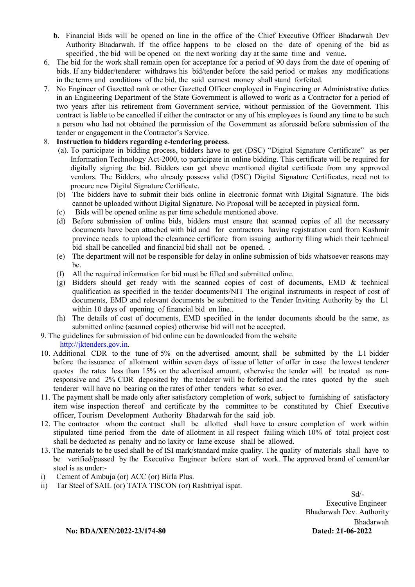- b. Financial Bids will be opened on line in the office of the Chief Executive Officer Bhadarwah Dev Authority Bhadarwah. If the office happens to be closed on the date of opening of the bid as specified , the bid will be opened on the next working day at the same time and venue.
- 6. The bid for the work shall remain open for acceptance for a period of 90 days from the date of opening of bids. If any bidder/tenderer withdraws his bid/tender before the said period or makes any modifications in the terms and conditions of the bid, the said earnest money shall stand forfeited.
- 7. No Engineer of Gazetted rank or other Gazetted Officer employed in Engineering or Administrative duties in an Engineering Department of the State Government is allowed to work as a Contractor for a period of two years after his retirement from Government service, without permission of the Government. This contract is liable to be cancelled if either the contractor or any of his employees is found any time to be such a person who had not obtained the permission of the Government as aforesaid before submission of the tender or engagement in the Contractor's Service.

#### 8. Instruction to bidders regarding e-tendering process.

- (a). To participate in bidding process, bidders have to get (DSC) "Digital Signature Certificate" as per Information Technology Act-2000, to participate in online bidding. This certificate will be required for digitally signing the bid. Bidders can get above mentioned digital certificate from any approved vendors. The Bidders, who already possess valid (DSC) Digital Signature Certificates, need not to procure new Digital Signature Certificate.
- (b) The bidders have to submit their bids online in electronic format with Digital Signature. The bids cannot be uploaded without Digital Signature. No Proposal will be accepted in physical form.
- (c) Bids will be opened online as per time schedule mentioned above.
- (d) Before submission of online bids, bidders must ensure that scanned copies of all the necessary documents have been attached with bid and for contractors having registration card from Kashmir province needs to upload the clearance certificate from issuing authority filing which their technical bid shall be cancelled and financial bid shall not be opened. .
- (e) The department will not be responsible for delay in online submission of bids whatsoever reasons may be.
- (f) All the required information for bid must be filled and submitted online.
- (g) Bidders should get ready with the scanned copies of cost of documents, EMD & technical qualification as specified in the tender documents/NIT The original instruments in respect of cost of documents, EMD and relevant documents be submitted to the Tender Inviting Authority by the L1 within 10 days of opening of financial bid on line...
- (h) The details of cost of documents, EMD specified in the tender documents should be the same, as submitted online (scanned copies) otherwise bid will not be accepted.
- 9. The guidelines for submission of bid online can be downloaded from the website

http://jktenders.gov.in.

- 10. Additional CDR to the tune of 5% on the advertised amount, shall be submitted by the L1 bidder before the issuance of allotment within seven days of issue of letter of offer in case the lowest tenderer quotes the rates less than 15% on the advertised amount, otherwise the tender will be treated as nonresponsive and 2% CDR deposited by the tenderer will be forfeited and the rates quoted by the such tenderer will have no bearing on the rates of other tenders what so ever.
- 11. The payment shall be made only after satisfactory completion of work, subject to furnishing of satisfactory item wise inspection thereof and certificate by the committee to be constituted by Chief Executive officer, Tourism Development Authority Bhadarwah for the said job.
- 12. The contractor whom the contract shall be allotted shall have to ensure completion of work within stipulated time period from the date of allotment in all respect failing which 10% of total project cost shall be deducted as penalty and no laxity or lame excuse shall be allowed.
- 13. The materials to be used shall be of ISI mark/standard make quality. The quality of materials shall have to be verified/passed by the Executive Engineer before start of work. The approved brand of cement/tar steel is as under:-
- i) Cement of Ambuja (or) ACC (or) Birla Plus.
- ii) Tar Steel of SAIL (or) TATA TISCON (or) Rashtriyal ispat.

 Sd/- Executive Engineer Bhadarwah Dev. Authority Bhadarwah

No: BDA/XEN/2022-23/174-80 Dated: 21-06-2022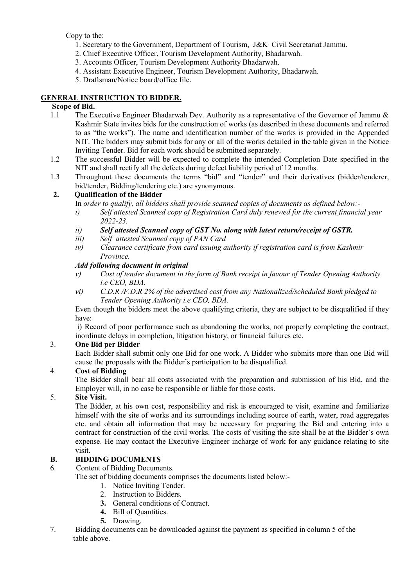Copy to the:

- 1. Secretary to the Government, Department of Tourism, J&K Civil Secretariat Jammu.
- 2. Chief Executive Officer, Tourism Development Authority, Bhadarwah.
- 3. Accounts Officer, Tourism Development Authority Bhadarwah.
- 4. Assistant Executive Engineer, Tourism Development Authority, Bhadarwah.
- 5. Draftsman/Notice board/office file.

### GENERAL INSTRUCTION TO BIDDER.

#### Scope of Bid.

- 1.1 The Executive Engineer Bhadarwah Dev. Authority as a representative of the Governor of Jammu & Kashmir State invites bids for the construction of works (as described in these documents and referred to as "the works"). The name and identification number of the works is provided in the Appended NIT. The bidders may submit bids for any or all of the works detailed in the table given in the Notice Inviting Tender. Bid for each work should be submitted separately.
- 1.2 The successful Bidder will be expected to complete the intended Completion Date specified in the NIT and shall rectify all the defects during defect liability period of 12 months.
- 1.3 Throughout these documents the terms "bid" and "tender" and their derivatives (bidder/tenderer, bid/tender, Bidding/tendering etc.) are synonymous.

## 2. Qualification of the Bidder

- In order to qualify, all bidders shall provide scanned copies of documents as defined below:-
- i) Self attested Scanned copy of Registration Card duly renewed for the current financial year 2022-23.
- ii) Self attested Scanned copy of GST No. along with latest return/receipt of GSTR.
- iii) Self attested Scanned copy of PAN Card
- iv) Clearance certificate from card issuing authority if registration card is from Kashmir Province.

### Add following document in original

- v) Cost of tender document in the form of Bank receipt in favour of Tender Opening Authority i.e CEO, BDA.
- vi) C.D.R /F.D.R 2% of the advertised cost from any Nationalized/scheduled Bank pledged to Tender Opening Authority i.e CEO, BDA.

 Even though the bidders meet the above qualifying criteria, they are subject to be disqualified if they have:

 i) Record of poor performance such as abandoning the works, not properly completing the contract, inordinate delays in completion, litigation history, or financial failures etc.

### 3. One Bid per Bidder

Each Bidder shall submit only one Bid for one work. A Bidder who submits more than one Bid will cause the proposals with the Bidder's participation to be disqualified.

### 4. Cost of Bidding

The Bidder shall bear all costs associated with the preparation and submission of his Bid, and the Employer will, in no case be responsible or liable for those costs.

### 5. Site Visit.

The Bidder, at his own cost, responsibility and risk is encouraged to visit, examine and familiarize himself with the site of works and its surroundings including source of earth, water, road aggregates etc. and obtain all information that may be necessary for preparing the Bid and entering into a contract for construction of the civil works. The costs of visiting the site shall be at the Bidder's own expense. He may contact the Executive Engineer incharge of work for any guidance relating to site visit.

### B. BIDDING DOCUMENTS

- 6. Content of Bidding Documents.
	- The set of bidding documents comprises the documents listed below:-
		- 1. Notice Inviting Tender.
			- 2. Instruction to Bidders.
		- 3. General conditions of Contract.
		- 4. Bill of Quantities.
		- 5. Drawing.
- 7. Bidding documents can be downloaded against the payment as specified in column 5 of the table above.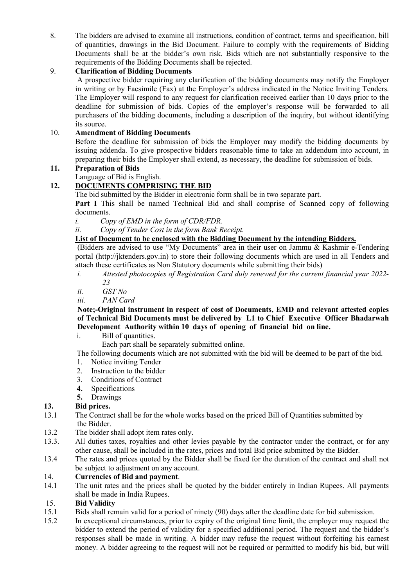8. The bidders are advised to examine all instructions, condition of contract, terms and specification, bill of quantities, drawings in the Bid Document. Failure to comply with the requirements of Bidding Documents shall be at the bidder's own risk. Bids which are not substantially responsive to the requirements of the Bidding Documents shall be rejected.

### 9. Clarification of Bidding Documents

 A prospective bidder requiring any clarification of the bidding documents may notify the Employer in writing or by Facsimile (Fax) at the Employer's address indicated in the Notice Inviting Tenders. The Employer will respond to any request for clarification received earlier than 10 days prior to the deadline for submission of bids. Copies of the employer's response will be forwarded to all purchasers of the bidding documents, including a description of the inquiry, but without identifying its source.

### 10. Amendment of Bidding Documents

Before the deadline for submission of bids the Employer may modify the bidding documents by issuing addenda. To give prospective bidders reasonable time to take an addendum into account, in preparing their bids the Employer shall extend, as necessary, the deadline for submission of bids.

#### 11. Preparation of Bids

Language of Bid is English.

### 12. DOCUMENTS COMPRISING THE BID

The bid submitted by the Bidder in electronic form shall be in two separate part.

Part I This shall be named Technical Bid and shall comprise of Scanned copy of following documents.

- i. Copy of EMD in the form of CDR/FDR.
- ii. Copy of Tender Cost in the form Bank Receipt.

#### List of Document to be enclosed with the Bidding Document by the intending Bidders.

(Bidders are advised to use "My Documents" area in their user on Jammu & Kashmir e-Tendering portal (http://jktenders.gov.in) to store their following documents which are used in all Tenders and attach these certificates as Non Statutory documents while submitting their bids)

- i. Attested photocopies of Registration Card duly renewed for the current financial year 2022- 23
- ii. GST No
- iii. PAN Card

Note;-Original instrument in respect of cost of Documents, EMD and relevant attested copies of Technical Bid Documents must be delivered by L1 to Chief Executive Officer Bhadarwah Development Authority within 10 days of opening of financial bid on line.

i. Bill of quantities.

Each part shall be separately submitted online.

The following documents which are not submitted with the bid will be deemed to be part of the bid.

- 1. Notice inviting Tender
- 2. Instruction to the bidder
- 3. Conditions of Contract
- 4. Specifications
- 5. Drawings

#### 13. Bid prices.

- 13.1 The Contract shall be for the whole works based on the priced Bill of Quantities submitted by the Bidder.
- 13.2 The bidder shall adopt item rates only.
- 13.3. All duties taxes, royalties and other levies payable by the contractor under the contract, or for any other cause, shall be included in the rates, prices and total Bid price submitted by the Bidder.
- 13.4 The rates and prices quoted by the Bidder shall be fixed for the duration of the contract and shall not be subject to adjustment on any account.

### 14. Currencies of Bid and payment.

14.1 The unit rates and the prices shall be quoted by the bidder entirely in Indian Rupees. All payments shall be made in India Rupees.

#### 15. Bid Validity

- 15.1 Bids shall remain valid for a period of ninety (90) days after the deadline date for bid submission.
- 15.2 In exceptional circumstances, prior to expiry of the original time limit, the employer may request the bidder to extend the period of validity for a specified additional period. The request and the bidder's responses shall be made in writing. A bidder may refuse the request without forfeiting his earnest money. A bidder agreeing to the request will not be required or permitted to modify his bid, but will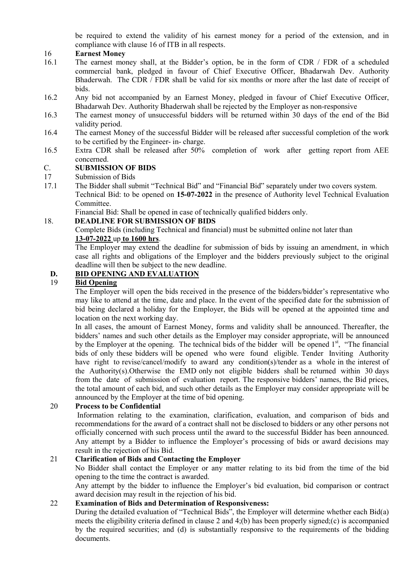be required to extend the validity of his earnest money for a period of the extension, and in compliance with clause 16 of ITB in all respects.

#### 16 Earnest Money

- 16.1 The earnest money shall, at the Bidder's option, be in the form of CDR / FDR of a scheduled commercial bank, pledged in favour of Chief Executive Officer, Bhadarwah Dev. Authority Bhaderwah. The CDR / FDR shall be valid for six months or more after the last date of receipt of bids.
- 16.2 Any bid not accompanied by an Earnest Money, pledged in favour of Chief Executive Officer, Bhadarwah Dev. Authority Bhaderwah shall be rejected by the Employer as non-responsive
- 16.3 The earnest money of unsuccessful bidders will be returned within 30 days of the end of the Bid validity period.
- 16.4 The earnest Money of the successful Bidder will be released after successful completion of the work to be certified by the Engineer- in- charge.
- 16.5 Extra CDR shall be released after 50% completion of work after getting report from AEE concerned.

#### C. SUBMISSION OF BIDS

17 Submission of Bids

- 17.1 The Bidder shall submit "Technical Bid" and "Financial Bid" separately under two covers system. Technical Bid: to be opened on 15-07-2022 in the presence of Authority level Technical Evaluation
	- Committee.

Financial Bid: Shall be opened in case of technically qualified bidders only.

#### 18. DEADLINE FOR SUBMISSION OF BIDS

Complete Bids (including Technical and financial) must be submitted online not later than 13-07-2022 up to 1600 hrs.

The Employer may extend the deadline for submission of bids by issuing an amendment, in which case all rights and obligations of the Employer and the bidders previously subject to the original deadline will then be subject to the new deadline.

# D. BID OPENING AND EVALUATION

#### 19 Bid Opening

 The Employer will open the bids received in the presence of the bidders/bidder's representative who may like to attend at the time, date and place. In the event of the specified date for the submission of bid being declared a holiday for the Employer, the Bids will be opened at the appointed time and location on the next working day.

In all cases, the amount of Earnest Money, forms and validity shall be announced. Thereafter, the bidders' names and such other details as the Employer may consider appropriate, will be announced by the Employer at the opening. The technical bids of the bidder will be opened 1<sup>st</sup>, "The financial bids of only these bidders will be opened who were found eligible. Tender Inviting Authority have right to revise/cancel/modify to award any condition(s)/tender as a whole in the interest of the Authority(s).Otherwise the EMD only not eligible bidders shall be returned within 30 days from the date of submission of evaluation report. The responsive bidders' names, the Bid prices, the total amount of each bid, and such other details as the Employer may consider appropriate will be announced by the Employer at the time of bid opening.

#### 20 Process to be Confidential

 Information relating to the examination, clarification, evaluation, and comparison of bids and recommendations for the award of a contract shall not be disclosed to bidders or any other persons not officially concerned with such process until the award to the successful Bidder has been announced. Any attempt by a Bidder to influence the Employer's processing of bids or award decisions may result in the rejection of his Bid.

#### 21 Clarification of Bids and Contacting the Employer

No Bidder shall contact the Employer or any matter relating to its bid from the time of the bid opening to the time the contract is awarded.

Any attempt by the bidder to influence the Employer's bid evaluation, bid comparison or contract award decision may result in the rejection of his bid.

#### 22 Examination of Bids and Determination of Responsiveness:

 During the detailed evaluation of "Technical Bids", the Employer will determine whether each Bid(a) meets the eligibility criteria defined in clause 2 and 4;(b) has been properly signed;(c) is accompanied by the required securities; and (d) is substantially responsive to the requirements of the bidding documents.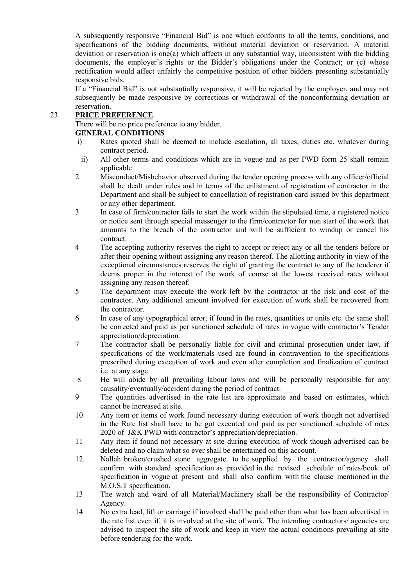A subsequently responsive "Financial Bid" is one which conforms to all the terms, conditions, and specifications of the bidding documents, without material deviation or reservation. A material deviation or reservation is one(a) which affects in any substantial way, inconsistent with the bidding documents, the employer's rights or the Bidder's obligations under the Contract; or (c) whose rectification would affect unfairly the competitive position of other bidders presenting substantially responsive bids.

If a "Financial Bid" is not substantially responsive, it will be rejected by the employer, and may not subsequently be made responsive by corrections or withdrawal of the nonconforming deviation or reservation.

#### 23 PRICE PREFERENCE

There will be no price preference to any bidder.

#### GENERAL CONDITIONS

- i) Rates quoted shall be deemed to include escalation, all taxes, duties etc. whatever during contract period.
- ii) All other terms and conditions which are in vogue and as per PWD form 25 shall remain applicable
- 2 Misconduct/Misbehavior observed during the tender opening process with any officer/official shall be dealt under rules and in terms of the enlistment of registration of contractor in the Department and shall be subject to cancellation of registration card issued by this department or any other department.
- 3 In case of firm/contractor fails to start the work within the stipulated time, a registered notice or notice sent through special messenger to the firm/contractor for non start of the work that amounts to the breach of the contractor and will be sufficient to windup or cancel his contract.
- 4 The accepting authority reserves the right to accept or reject any or all the tenders before or after their opening without assigning any reason thereof. The allotting authority in view of the exceptional circumstances reserves the right of granting the contract to any of the tenderer if deems proper in the interest of the work of course at the lowest received rates without assigning any reason thereof.
- 5 The department may execute the work left by the contractor at the risk and cost of the contractor. Any additional amount involved for execution of work shall be recovered from the contractor.
- 6 In case of any typographical error, if found in the rates, quantities or units etc. the same shall be corrected and paid as per sanctioned schedule of rates in vogue with contractor's Tender appreciation/depreciation.
- 7 The contractor shall be personally liable for civil and criminal prosecution under law, if specifications of the work/materials used are found in contravention to the specifications prescribed during execution of work and even after completion and finalization of contract i.e. at any stage.
- 8 He will abide by all prevailing labour laws and will be personally responsible for any causality/eventually/accident during the period of contract.
- 9 The quantities advertised in the rate list are approximate and based on estimates, which cannot be increased at site.
- 10 Any item or items of work found necessary during execution of work though not advertised in the Rate list shall have to be got executed and paid as per sanctioned schedule of rates 2020 of J&K PWD with contractor's appreciation/depreciation.
- 11 Any item if found not necessary at site during execution of work though advertised can be deleted and no claim what so ever shall be entertained on this account.
- 12. Nallah broken/crushed stone aggregate to be supplied by the contractor/agency shall confirm with standard specification as provided in the revised schedule of rates/book of specification in vogue at present and shall also confirm with the clause mentioned in the M.O.S.T specification.
- 13 The watch and ward of all Material/Machinery shall be the responsibility of Contractor/ Agency.
- 14 No extra lead, lift or carriage if involved shall be paid other than what has been advertised in the rate list even if, it is involved at the site of work. The intending contractors/ agencies are advised to inspect the site of work and keep in view the actual conditions prevailing at site before tendering for the work.